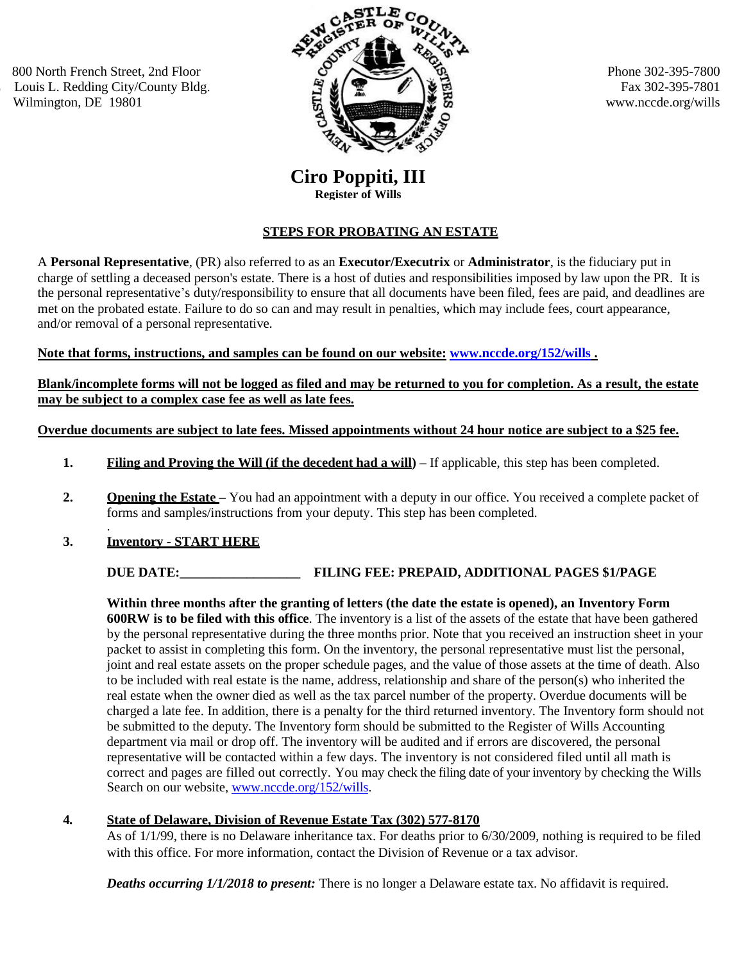800 North French Street, 2nd Floor Louis L. Redding City/County Bldg. Wilmington, DE 19801



Phone 302-395-7800 Fax 302-395-7801 www.nccde.org/wills

# **Ciro Poppiti, III Register of Wills**

# **STEPS FOR PROBATING AN ESTATE**

A **Personal Representative**, (PR) also referred to as an **Executor/Executrix** or **Administrator**, is the fiduciary put in charge of settling a deceased person's estate. There is a host of duties and responsibilities imposed by law upon the PR. It is the personal representative's duty/responsibility to ensure that all documents have been filed, fees are paid, and deadlines are met on the probated estate. Failure to do so can and may result in penalties, which may include fees, court appearance, and/or removal of a personal representative.

## **Note that forms, instructions, and samples can be found on our website: [www.nccde.org/152/wills](http://www.nccde.org/152/wills) .**

**Blank/incomplete forms will not be logged as filed and may be returned to you for completion. As a result, the estate may be subject to a complex case fee as well as late fees.**

#### **Overdue documents are subject to late fees. Missed appointments without 24 hour notice are subject to a \$25 fee.**

- **1. Filing and Proving the Will (if the decedent had a will) –** If applicable, this step has been completed.
- **2. Opening the Estate** You had an appointment with a deputy in our office. You received a complete packet of forms and samples/instructions from your deputy. This step has been completed.
- . **3. Inventory - START HERE**

**DUE DATE:\_\_\_\_\_\_\_\_\_\_\_\_\_\_\_\_\_\_ FILING FEE: PREPAID, ADDITIONAL PAGES \$1/PAGE**

**Within three months after the granting of letters (the date the estate is opened), an Inventory Form 600RW is to be filed with this office**. The inventory is a list of the assets of the estate that have been gathered by the personal representative during the three months prior. Note that you received an instruction sheet in your packet to assist in completing this form. On the inventory, the personal representative must list the personal, joint and real estate assets on the proper schedule pages, and the value of those assets at the time of death. Also to be included with real estate is the name, address, relationship and share of the person(s) who inherited the real estate when the owner died as well as the tax parcel number of the property. Overdue documents will be charged a late fee. In addition, there is a penalty for the third returned inventory. The Inventory form should not be submitted to the deputy. The Inventory form should be submitted to the Register of Wills Accounting department via mail or drop off. The inventory will be audited and if errors are discovered, the personal representative will be contacted within a few days. The inventory is not considered filed until all math is correct and pages are filled out correctly. You may check the filing date of your inventory by checking the Wills Search on our website[, www.nccde.org/152/wills.](file:///C:/Users/THenn/Documents/www.nccde.org/152/wills)

## **4***.* **State of Delaware, Division of Revenue Estate Tax (302) 577-8170**

As of 1/1/99, there is no Delaware inheritance tax. For deaths prior to 6/30/2009, nothing is required to be filed with this office. For more information, contact the Division of Revenue or a tax advisor.

*Deaths occurring 1/1/2018 to present:* There is no longer a Delaware estate tax. No affidavit is required.